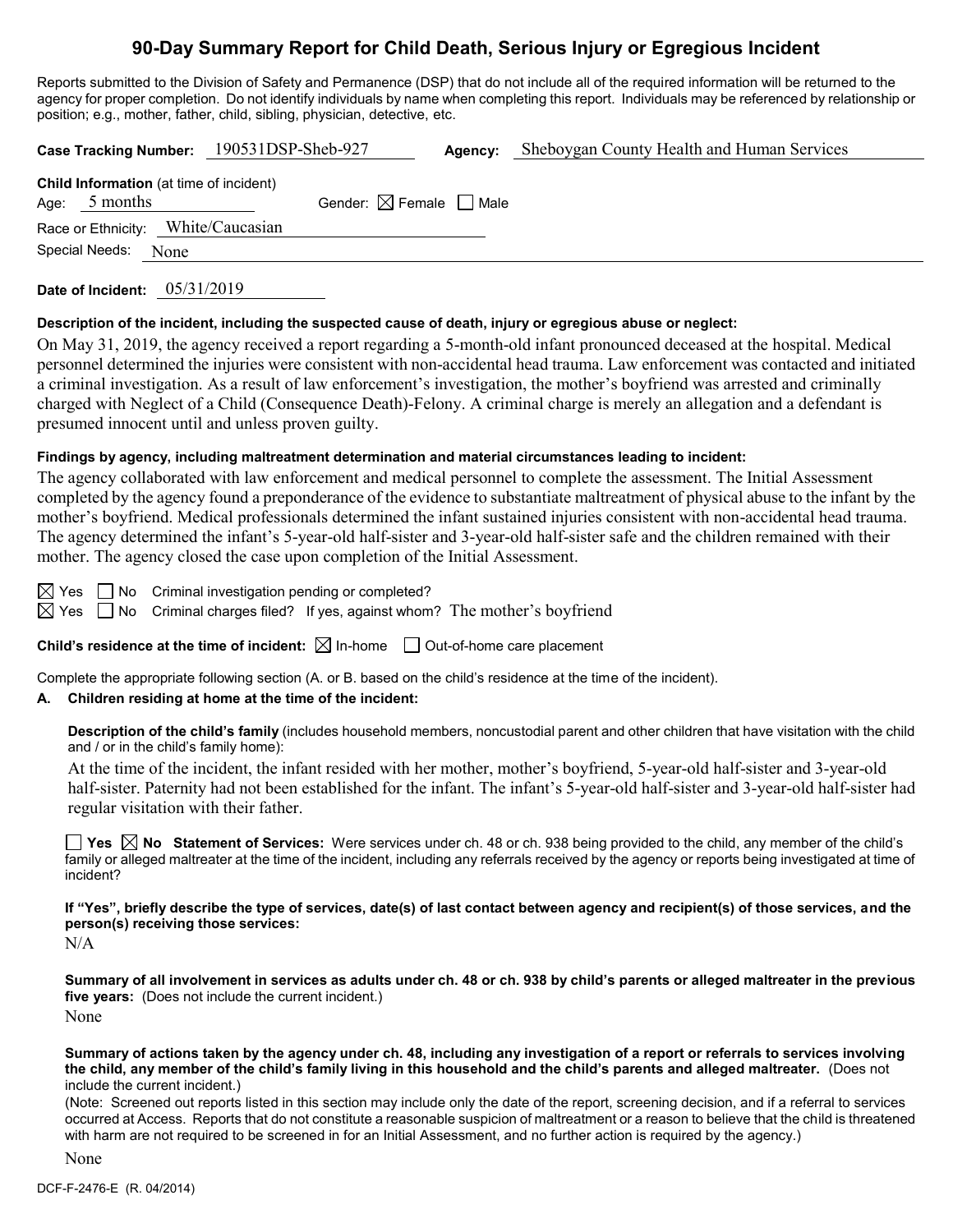# **90-Day Summary Report for Child Death, Serious Injury or Egregious Incident**

Reports submitted to the Division of Safety and Permanence (DSP) that do not include all of the required information will be returned to the agency for proper completion. Do not identify individuals by name when completing this report. Individuals may be referenced by relationship or position; e.g., mother, father, child, sibling, physician, detective, etc.

|                                                                   | Case Tracking Number: 190531DSP-Sheb-927 | Agency: | Sheboygan County Health and Human Services |
|-------------------------------------------------------------------|------------------------------------------|---------|--------------------------------------------|
| <b>Child Information</b> (at time of incident)<br>Age: $5$ months | Gender: $\boxtimes$ Female $\Box$ Male   |         |                                            |
| Race or Ethnicity: White/Caucasian                                |                                          |         |                                            |
| Special Needs: None                                               |                                          |         |                                            |
|                                                                   |                                          |         |                                            |

**Date of Incident:** 05/31/2019

#### **Description of the incident, including the suspected cause of death, injury or egregious abuse or neglect:**

On May 31, 2019, the agency received a report regarding a 5-month-old infant pronounced deceased at the hospital. Medical personnel determined the injuries were consistent with non-accidental head trauma. Law enforcement was contacted and initiated a criminal investigation. As a result of law enforcement's investigation, the mother's boyfriend was arrested and criminally charged with Neglect of a Child (Consequence Death)-Felony. A criminal charge is merely an allegation and a defendant is presumed innocent until and unless proven guilty.

#### **Findings by agency, including maltreatment determination and material circumstances leading to incident:**

The agency collaborated with law enforcement and medical personnel to complete the assessment. The Initial Assessment completed by the agency found a preponderance of the evidence to substantiate maltreatment of physical abuse to the infant by the mother's boyfriend. Medical professionals determined the infant sustained injuries consistent with non-accidental head trauma. The agency determined the infant's 5-year-old half-sister and 3-year-old half-sister safe and the children remained with their mother. The agency closed the case upon completion of the Initial Assessment.

 $\boxtimes$  Yes  $\Box$  No Criminal investigation pending or completed?

 $\boxtimes$  Yes  $\Box$  No Criminal charges filed? If yes, against whom? The mother's boyfriend

**Child's residence at the time of incident:**  $\boxtimes$  In-home  $\Box$  Out-of-home care placement

Complete the appropriate following section (A. or B. based on the child's residence at the time of the incident).

#### **A. Children residing at home at the time of the incident:**

**Description of the child's family** (includes household members, noncustodial parent and other children that have visitation with the child and / or in the child's family home):

At the time of the incident, the infant resided with her mother, mother's boyfriend, 5-year-old half-sister and 3-year-old half-sister. Paternity had not been established for the infant. The infant's 5-year-old half-sister and 3-year-old half-sister had regular visitation with their father.

**Yes**  $\boxtimes$  **No** Statement of Services: Were services under ch. 48 or ch. 938 being provided to the child, any member of the child's family or alleged maltreater at the time of the incident, including any referrals received by the agency or reports being investigated at time of incident?

**If "Yes", briefly describe the type of services, date(s) of last contact between agency and recipient(s) of those services, and the person(s) receiving those services:**

N/A

**Summary of all involvement in services as adults under ch. 48 or ch. 938 by child's parents or alleged maltreater in the previous five years:** (Does not include the current incident.) None

**Summary of actions taken by the agency under ch. 48, including any investigation of a report or referrals to services involving the child, any member of the child's family living in this household and the child's parents and alleged maltreater.** (Does not include the current incident.)

(Note: Screened out reports listed in this section may include only the date of the report, screening decision, and if a referral to services occurred at Access. Reports that do not constitute a reasonable suspicion of maltreatment or a reason to believe that the child is threatened with harm are not required to be screened in for an Initial Assessment, and no further action is required by the agency.)

None